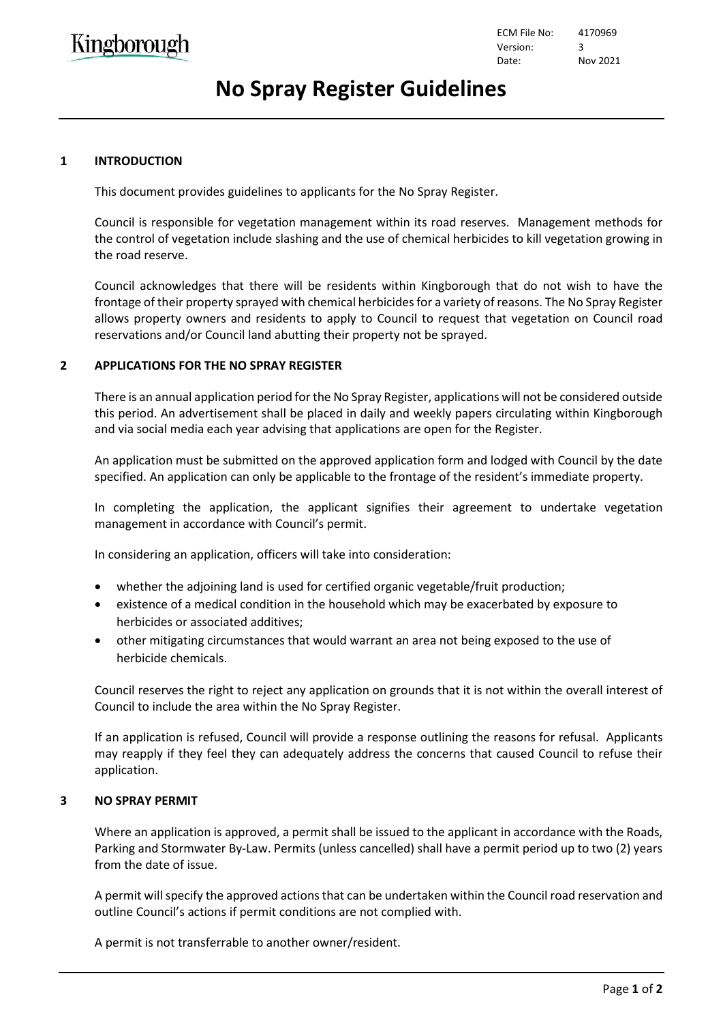ECM File No: 4170969 Version: 3 Date: Nov 2021

## **No Spray Register Guidelines**

## **1 INTRODUCTION**

This document provides guidelines to applicants for the No Spray Register.

Council is responsible for vegetation management within its road reserves. Management methods for the control of vegetation include slashing and the use of chemical herbicides to kill vegetation growing in the road reserve.

Council acknowledges that there will be residents within Kingborough that do not wish to have the frontage of their property sprayed with chemical herbicides for a variety of reasons. The No Spray Register allows property owners and residents to apply to Council to request that vegetation on Council road reservations and/or Council land abutting their property not be sprayed.

## **2 APPLICATIONS FOR THE NO SPRAY REGISTER**

There is an annual application period for the No Spray Register, applications will not be considered outside this period. An advertisement shall be placed in daily and weekly papers circulating within Kingborough and via social media each year advising that applications are open for the Register.

An application must be submitted on the approved application form and lodged with Council by the date specified. An application can only be applicable to the frontage of the resident's immediate property.

In completing the application, the applicant signifies their agreement to undertake vegetation management in accordance with Council's permit.

In considering an application, officers will take into consideration:

- whether the adjoining land is used for certified organic vegetable/fruit production;
- existence of a medical condition in the household which may be exacerbated by exposure to herbicides or associated additives;
- other mitigating circumstances that would warrant an area not being exposed to the use of herbicide chemicals.

Council reserves the right to reject any application on grounds that it is not within the overall interest of Council to include the area within the No Spray Register.

If an application is refused, Council will provide a response outlining the reasons for refusal. Applicants may reapply if they feel they can adequately address the concerns that caused Council to refuse their application.

#### **3 NO SPRAY PERMIT**

Where an application is approved, a permit shall be issued to the applicant in accordance with the Roads, Parking and Stormwater By-Law. Permits (unless cancelled) shall have a permit period up to two (2) years from the date of issue.

A permit will specify the approved actions that can be undertaken within the Council road reservation and outline Council's actions if permit conditions are not complied with.

A permit is not transferrable to another owner/resident.